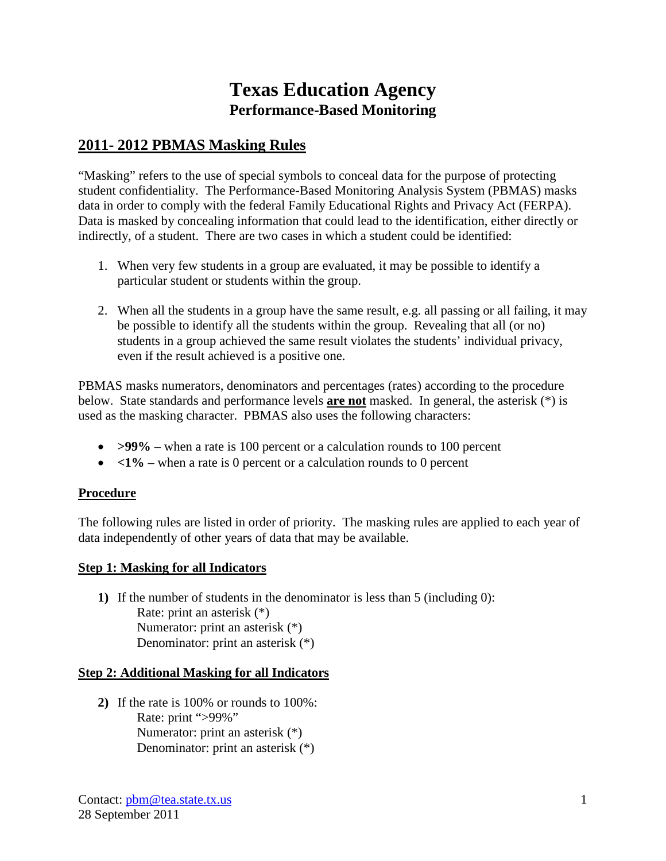# **Texas Education Agency Performance-Based Monitoring**

## **2011- 2012 PBMAS Masking Rules**

"Masking" refers to the use of special symbols to conceal data for the purpose of protecting student confidentiality. The Performance-Based Monitoring Analysis System (PBMAS) masks data in order to comply with the federal Family Educational Rights and Privacy Act (FERPA). Data is masked by concealing information that could lead to the identification, either directly or indirectly, of a student. There are two cases in which a student could be identified:

- 1. When very few students in a group are evaluated, it may be possible to identify a particular student or students within the group.
- 2. When all the students in a group have the same result, e.g. all passing or all failing, it may be possible to identify all the students within the group. Revealing that all (or no) students in a group achieved the same result violates the students' individual privacy, even if the result achieved is a positive one.

PBMAS masks numerators, denominators and percentages (rates) according to the procedure below. State standards and performance levels **are not** masked. In general, the asterisk (\*) is used as the masking character. PBMAS also uses the following characters:

- **>99%** when a rate is 100 percent or a calculation rounds to 100 percent
- $\bullet$   $\leq 1\%$  when a rate is 0 percent or a calculation rounds to 0 percent

### **Procedure**

The following rules are listed in order of priority. The masking rules are applied to each year of data independently of other years of data that may be available.

### **Step 1: Masking for all Indicators**

**1)** If the number of students in the denominator is less than 5 (including 0): Rate: print an asterisk (\*) Numerator: print an asterisk (\*) Denominator: print an asterisk (\*)

### **Step 2: Additional Masking for all Indicators**

**2)** If the rate is 100% or rounds to 100%: Rate: print ">99%" Numerator: print an asterisk (\*) Denominator: print an asterisk (\*)